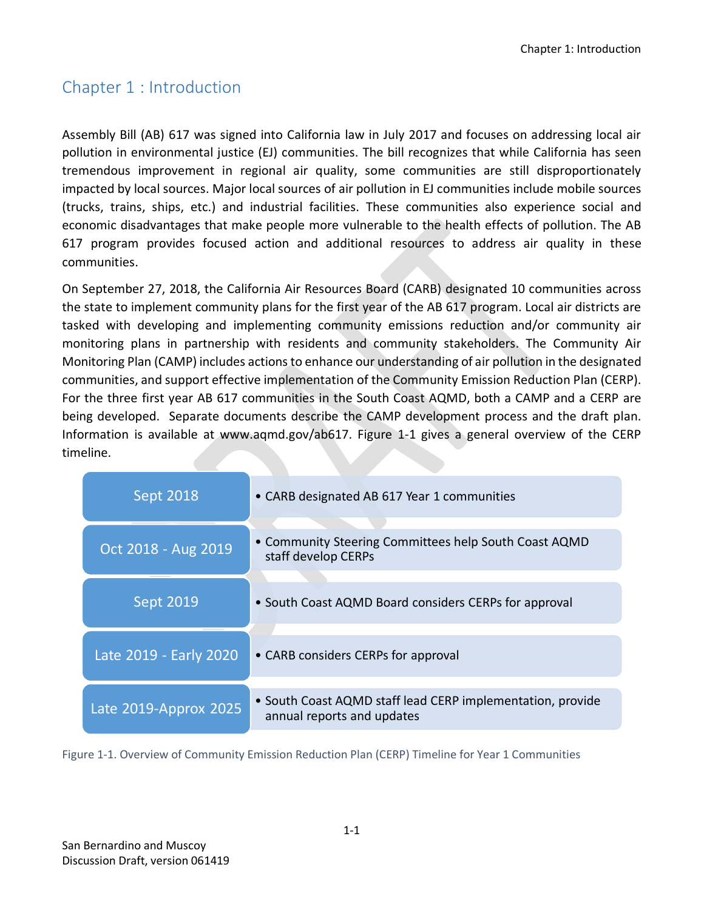## Chapter 1 : Introduction

Assembly Bill (AB) 617 was signed into California law in July 2017 and focuses on addressing local air pollution in environmental justice (EJ) communities. The bill recognizes that while California has seen tremendous improvement in regional air quality, some communities are still disproportionately impacted by local sources. Major local sources of air pollution in EJ communities include mobile sources (trucks, trains, ships, etc.) and industrial facilities. These communities also experience social and economic disadvantages that make people more vulnerable to the health effects of pollution. The AB 617 program provides focused action and additional resources to address air quality in these communities.

On September 27, 2018, the California Air Resources Board (CARB) designated 10 communities across the state to implement community plans for the first year of the AB 617 program. Local air districts are tasked with developing and implementing community emissions reduction and/or community air monitoring plans in partnership with residents and community stakeholders. The Community Air Monitoring Plan (CAMP) includes actions to enhance our understanding of air pollution in the designated communities, and support effective implementation of the Community Emission Reduction Plan (CERP). For the three first year AB 617 communities in the South Coast AQMD, both a CAMP and a CERP are being developed. Separate documents describe the CAMP development process and the draft plan. Information is available at www.aqmd.gov/ab617. [Figure 1-1](#page-0-0) gives a general overview of the CERP timeline.

| <b>Sept 2018</b>       | • CARB designated AB 617 Year 1 communities                                              |
|------------------------|------------------------------------------------------------------------------------------|
| Oct 2018 - Aug 2019    | • Community Steering Committees help South Coast AQMD<br>staff develop CERPs             |
| <b>Sept 2019</b>       | • South Coast AQMD Board considers CERPs for approval                                    |
| Late 2019 - Early 2020 | • CARB considers CERPs for approval                                                      |
| Late 2019-Approx 2025  | • South Coast AQMD staff lead CERP implementation, provide<br>annual reports and updates |

<span id="page-0-0"></span>Figure 1-1. Overview of Community Emission Reduction Plan (CERP) Timeline for Year 1 Communities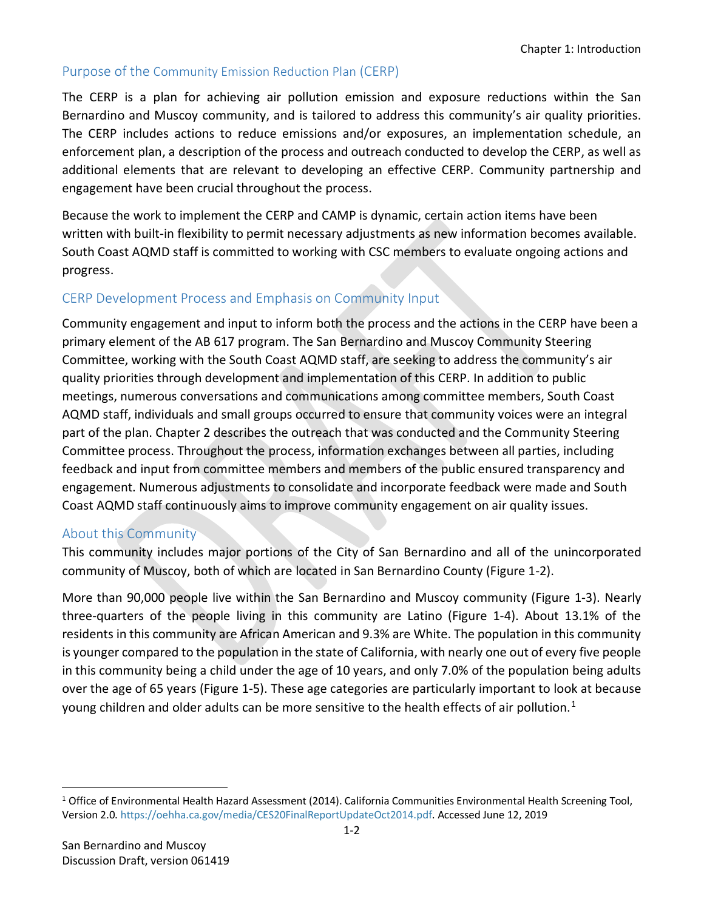## Purpose of the Community Emission Reduction Plan (CERP)

The CERP is a plan for achieving air pollution emission and exposure reductions within the San Bernardino and Muscoy community, and is tailored to address this community's air quality priorities. The CERP includes actions to reduce emissions and/or exposures, an implementation schedule, an enforcement plan, a description of the process and outreach conducted to develop the CERP, as well as additional elements that are relevant to developing an effective CERP. Community partnership and engagement have been crucial throughout the process.

Because the work to implement the CERP and CAMP is dynamic, certain action items have been written with built-in flexibility to permit necessary adjustments as new information becomes available. South Coast AQMD staff is committed to working with CSC members to evaluate ongoing actions and progress.

## CERP Development Process and Emphasis on Community Input

Community engagement and input to inform both the process and the actions in the CERP have been a primary element of the AB 617 program. The San Bernardino and Muscoy Community Steering Committee, working with the South Coast AQMD staff, are seeking to address the community's air quality priorities through development and implementation of this CERP. In addition to public meetings, numerous conversations and communications among committee members, South Coast AQMD staff, individuals and small groups occurred to ensure that community voices were an integral part of the plan. Chapter 2 describes the outreach that was conducted and the Community Steering Committee process. Throughout the process, information exchanges between all parties, including feedback and input from committee members and members of the public ensured transparency and engagement. Numerous adjustments to consolidate and incorporate feedback were made and South Coast AQMD staff continuously aims to improve community engagement on air quality issues.

## About this Community

This community includes major portions of the City of San Bernardino and all of the unincorporated community of Muscoy, both of which are located in San Bernardino County [\(Figure 1-2\)](#page-2-0).

More than 90,000 people live within the San Bernardino and Muscoy community [\(Figure 1-3\)](#page-2-1). Nearly three-quarters of the people living in this community are Latino [\(Figure 1-4\)](#page-3-0). About 13.1% of the residents in this community are African American and 9.3% are White. The population in this community is younger compared to the population in the state of California, with nearly one out of every five people in this community being a child under the age of 10 years, and only 7.0% of the population being adults over the age of 65 years [\(Figure 1-5\)](#page-3-1). These age categories are particularly important to look at because young children and older adults can be more sensitive to the health effects of air pollution.<sup>[1](#page-1-0)</sup>

 $\overline{\phantom{a}}$ 

<span id="page-1-0"></span><sup>1</sup> Office of Environmental Health Hazard Assessment (2014). California Communities Environmental Health Screening Tool, Version 2.0[. https://oehha.ca.gov/media/CES20FinalReportUpdateOct2014.pdf.](https://oehha.ca.gov/media/CES20FinalReportUpdateOct2014.pdf) Accessed June 12, 2019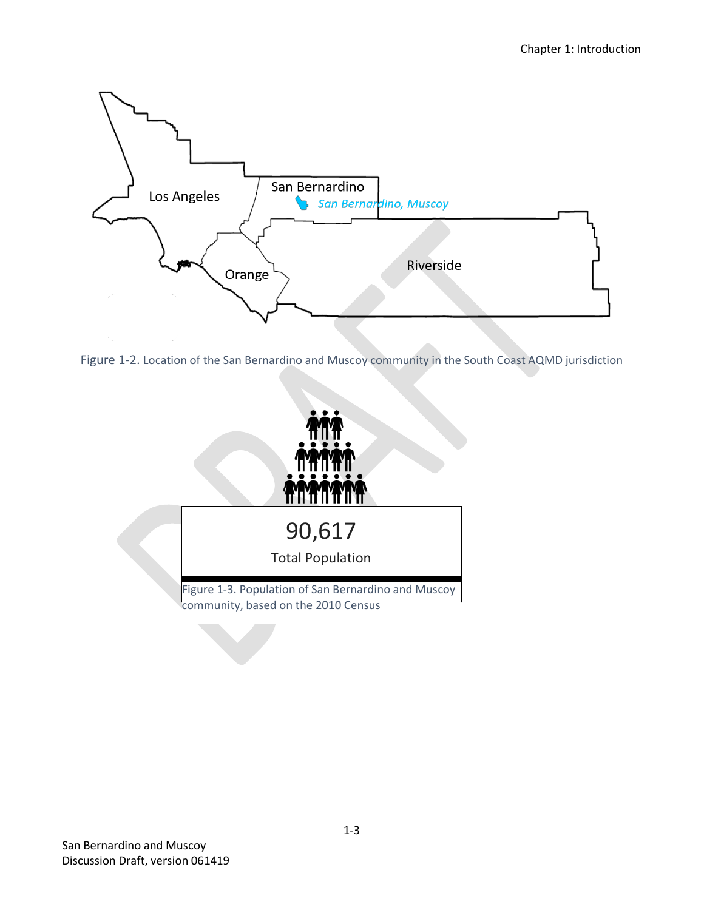

<span id="page-2-0"></span>

<span id="page-2-1"></span>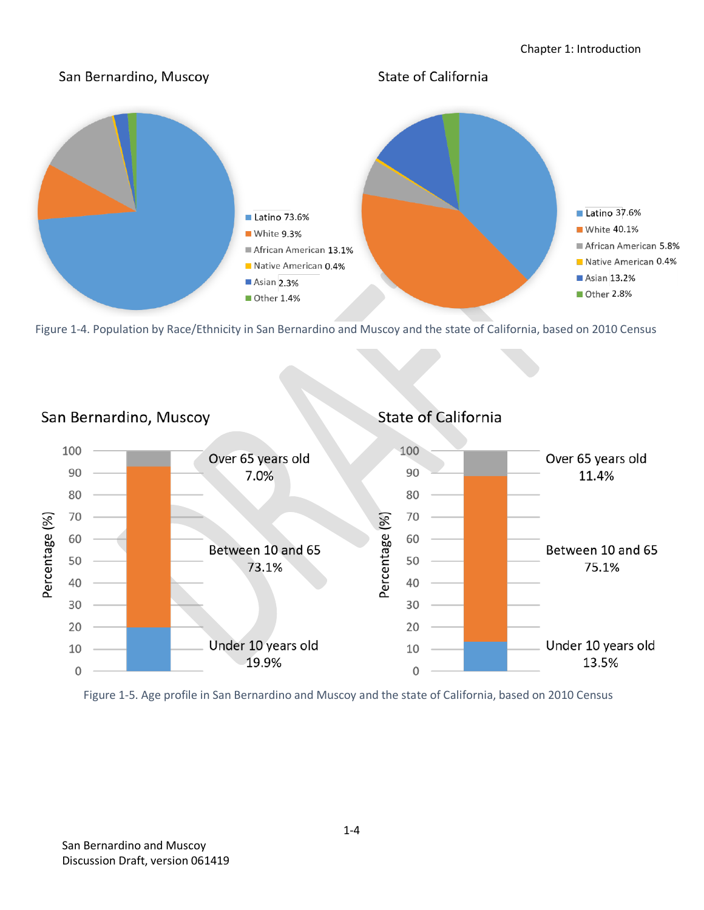

<span id="page-3-0"></span>



<span id="page-3-1"></span>Figure 1-5. Age profile in San Bernardino and Muscoy and the state of California, based on 2010 Census